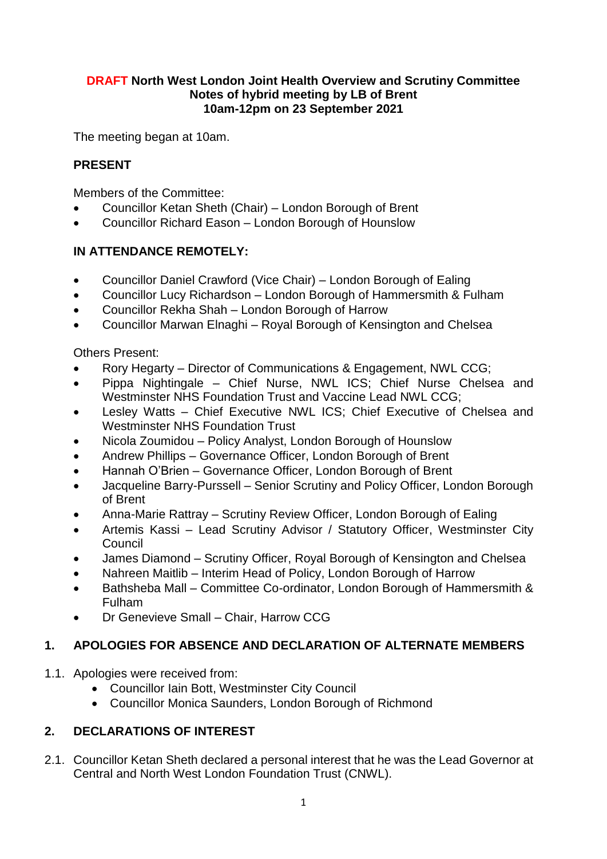#### **DRAFT North West London Joint Health Overview and Scrutiny Committee Notes of hybrid meeting by LB of Brent 10am-12pm on 23 September 2021**

The meeting began at 10am.

# **PRESENT**

Members of the Committee:

- Councillor Ketan Sheth (Chair) London Borough of Brent
- Councillor Richard Eason London Borough of Hounslow

# **IN ATTENDANCE REMOTELY:**

- Councillor Daniel Crawford (Vice Chair) London Borough of Ealing
- Councillor Lucy Richardson London Borough of Hammersmith & Fulham
- Councillor Rekha Shah London Borough of Harrow
- Councillor Marwan Elnaghi Royal Borough of Kensington and Chelsea

Others Present:

- Rory Hegarty Director of Communications & Engagement, NWL CCG;
- Pippa Nightingale Chief Nurse, NWL ICS; Chief Nurse Chelsea and Westminster NHS Foundation Trust and Vaccine Lead NWL CCG;
- Lesley Watts Chief Executive NWL ICS; Chief Executive of Chelsea and Westminster NHS Foundation Trust
- Nicola Zoumidou Policy Analyst, London Borough of Hounslow
- Andrew Phillips Governance Officer, London Borough of Brent
- Hannah O'Brien Governance Officer, London Borough of Brent
- Jacqueline Barry-Purssell Senior Scrutiny and Policy Officer, London Borough of Brent
- Anna-Marie Rattray Scrutiny Review Officer, London Borough of Ealing
- Artemis Kassi Lead Scrutiny Advisor / Statutory Officer, Westminster City Council
- James Diamond Scrutiny Officer, Royal Borough of Kensington and Chelsea
- Nahreen Maitlib Interim Head of Policy, London Borough of Harrow
- Bathsheba Mall Committee Co-ordinator, London Borough of Hammersmith & Fulham
- Dr Genevieve Small Chair, Harrow CCG

# **1. APOLOGIES FOR ABSENCE AND DECLARATION OF ALTERNATE MEMBERS**

- 1.1. Apologies were received from:
	- Councillor Iain Bott, Westminster City Council
	- Councillor Monica Saunders, London Borough of Richmond

# **2. DECLARATIONS OF INTEREST**

2.1. Councillor Ketan Sheth declared a personal interest that he was the Lead Governor at Central and North West London Foundation Trust (CNWL).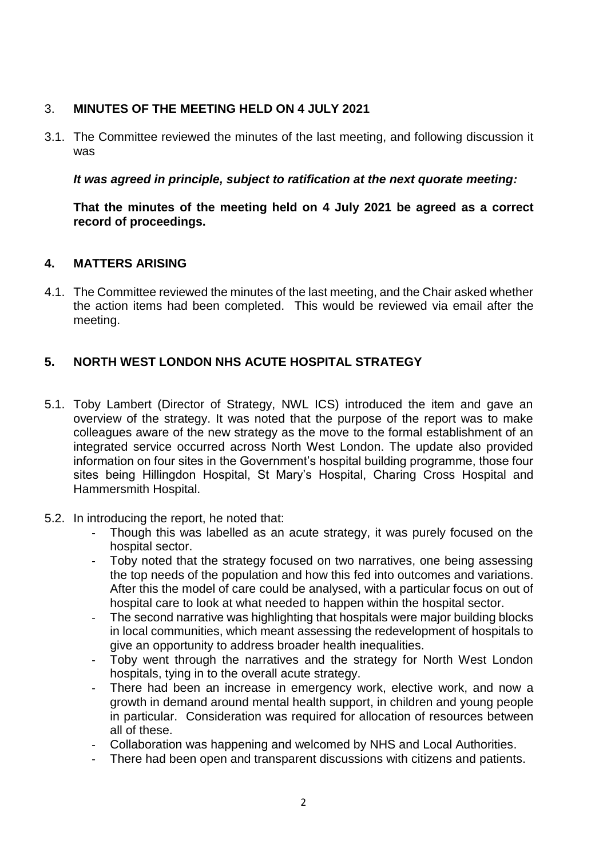## 3. **MINUTES OF THE MEETING HELD ON 4 JULY 2021**

3.1. The Committee reviewed the minutes of the last meeting, and following discussion it was

*It was agreed in principle, subject to ratification at the next quorate meeting:* 

**That the minutes of the meeting held on 4 July 2021 be agreed as a correct record of proceedings.**

## **4. MATTERS ARISING**

4.1. The Committee reviewed the minutes of the last meeting, and the Chair asked whether the action items had been completed. This would be reviewed via email after the meeting.

# **5. NORTH WEST LONDON NHS ACUTE HOSPITAL STRATEGY**

- 5.1. Toby Lambert (Director of Strategy, NWL ICS) introduced the item and gave an overview of the strategy. It was noted that the purpose of the report was to make colleagues aware of the new strategy as the move to the formal establishment of an integrated service occurred across North West London. The update also provided information on four sites in the Government's hospital building programme, those four sites being Hillingdon Hospital, St Mary's Hospital, Charing Cross Hospital and Hammersmith Hospital.
- 5.2. In introducing the report, he noted that:
	- Though this was labelled as an acute strategy, it was purely focused on the hospital sector.
	- Toby noted that the strategy focused on two narratives, one being assessing the top needs of the population and how this fed into outcomes and variations. After this the model of care could be analysed, with a particular focus on out of hospital care to look at what needed to happen within the hospital sector.
	- The second narrative was highlighting that hospitals were major building blocks in local communities, which meant assessing the redevelopment of hospitals to give an opportunity to address broader health inequalities.
	- Toby went through the narratives and the strategy for North West London hospitals, tying in to the overall acute strategy.
	- There had been an increase in emergency work, elective work, and now a growth in demand around mental health support, in children and young people in particular. Consideration was required for allocation of resources between all of these.
	- Collaboration was happening and welcomed by NHS and Local Authorities.
	- There had been open and transparent discussions with citizens and patients.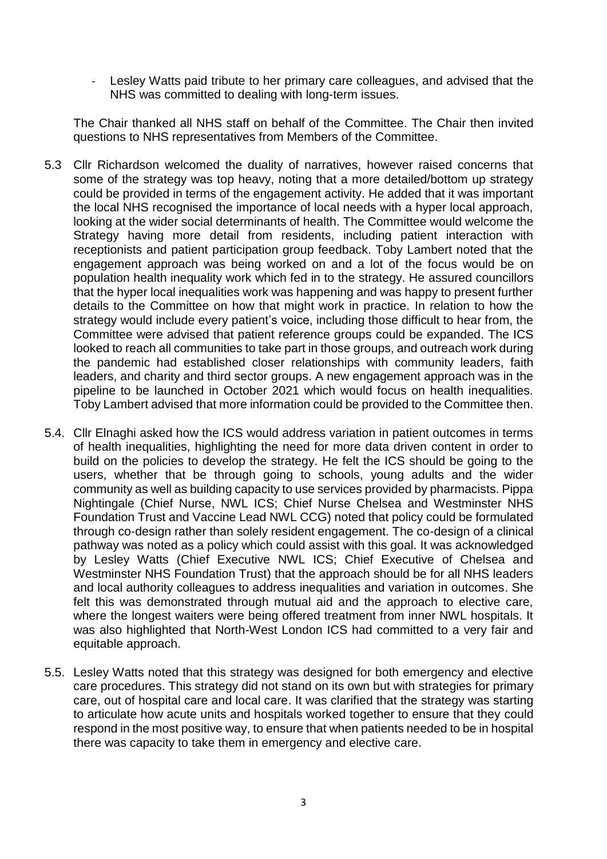- Lesley Watts paid tribute to her primary care colleagues, and advised that the NHS was committed to dealing with long-term issues.

The Chair thanked all NHS staff on behalf of the Committee. The Chair then invited questions to NHS representatives from Members of the Committee.

- 5.3 Cllr Richardson welcomed the duality of narratives, however raised concerns that some of the strategy was top heavy, noting that a more detailed/bottom up strategy could be provided in terms of the engagement activity. He added that it was important the local NHS recognised the importance of local needs with a hyper local approach, looking at the wider social determinants of health. The Committee would welcome the Strategy having more detail from residents, including patient interaction with receptionists and patient participation group feedback. Toby Lambert noted that the engagement approach was being worked on and a lot of the focus would be on population health inequality work which fed in to the strategy. He assured councillors that the hyper local inequalities work was happening and was happy to present further details to the Committee on how that might work in practice. In relation to how the strategy would include every patient's voice, including those difficult to hear from, the Committee were advised that patient reference groups could be expanded. The ICS looked to reach all communities to take part in those groups, and outreach work during the pandemic had established closer relationships with community leaders, faith leaders, and charity and third sector groups. A new engagement approach was in the pipeline to be launched in October 2021 which would focus on health inequalities. Toby Lambert advised that more information could be provided to the Committee then.
- 5.4. Cllr Elnaghi asked how the ICS would address variation in patient outcomes in terms of health inequalities, highlighting the need for more data driven content in order to build on the policies to develop the strategy. He felt the ICS should be going to the users, whether that be through going to schools, young adults and the wider community as well as building capacity to use services provided by pharmacists. Pippa Nightingale (Chief Nurse, NWL ICS; Chief Nurse Chelsea and Westminster NHS Foundation Trust and Vaccine Lead NWL CCG) noted that policy could be formulated through co-design rather than solely resident engagement. The co-design of a clinical pathway was noted as a policy which could assist with this goal. It was acknowledged by Lesley Watts (Chief Executive NWL ICS; Chief Executive of Chelsea and Westminster NHS Foundation Trust) that the approach should be for all NHS leaders and local authority colleagues to address inequalities and variation in outcomes. She felt this was demonstrated through mutual aid and the approach to elective care, where the longest waiters were being offered treatment from inner NWL hospitals. It was also highlighted that North-West London ICS had committed to a very fair and equitable approach.
- 5.5. Lesley Watts noted that this strategy was designed for both emergency and elective care procedures. This strategy did not stand on its own but with strategies for primary care, out of hospital care and local care. It was clarified that the strategy was starting to articulate how acute units and hospitals worked together to ensure that they could respond in the most positive way, to ensure that when patients needed to be in hospital there was capacity to take them in emergency and elective care.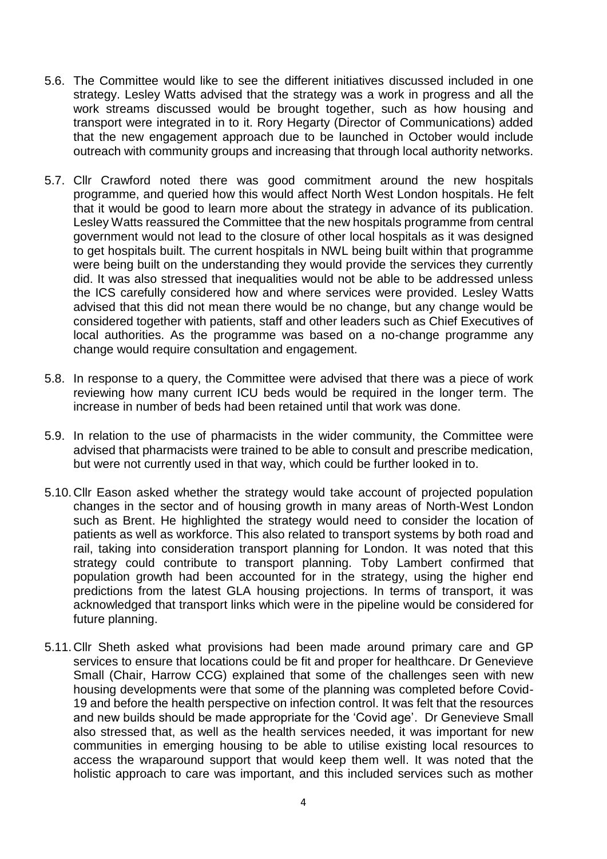- 5.6. The Committee would like to see the different initiatives discussed included in one strategy. Lesley Watts advised that the strategy was a work in progress and all the work streams discussed would be brought together, such as how housing and transport were integrated in to it. Rory Hegarty (Director of Communications) added that the new engagement approach due to be launched in October would include outreach with community groups and increasing that through local authority networks.
- 5.7. Cllr Crawford noted there was good commitment around the new hospitals programme, and queried how this would affect North West London hospitals. He felt that it would be good to learn more about the strategy in advance of its publication. Lesley Watts reassured the Committee that the new hospitals programme from central government would not lead to the closure of other local hospitals as it was designed to get hospitals built. The current hospitals in NWL being built within that programme were being built on the understanding they would provide the services they currently did. It was also stressed that inequalities would not be able to be addressed unless the ICS carefully considered how and where services were provided. Lesley Watts advised that this did not mean there would be no change, but any change would be considered together with patients, staff and other leaders such as Chief Executives of local authorities. As the programme was based on a no-change programme any change would require consultation and engagement.
- 5.8. In response to a query, the Committee were advised that there was a piece of work reviewing how many current ICU beds would be required in the longer term. The increase in number of beds had been retained until that work was done.
- 5.9. In relation to the use of pharmacists in the wider community, the Committee were advised that pharmacists were trained to be able to consult and prescribe medication, but were not currently used in that way, which could be further looked in to.
- 5.10.Cllr Eason asked whether the strategy would take account of projected population changes in the sector and of housing growth in many areas of North-West London such as Brent. He highlighted the strategy would need to consider the location of patients as well as workforce. This also related to transport systems by both road and rail, taking into consideration transport planning for London. It was noted that this strategy could contribute to transport planning. Toby Lambert confirmed that population growth had been accounted for in the strategy, using the higher end predictions from the latest GLA housing projections. In terms of transport, it was acknowledged that transport links which were in the pipeline would be considered for future planning.
- 5.11.Cllr Sheth asked what provisions had been made around primary care and GP services to ensure that locations could be fit and proper for healthcare. Dr Genevieve Small (Chair, Harrow CCG) explained that some of the challenges seen with new housing developments were that some of the planning was completed before Covid-19 and before the health perspective on infection control. It was felt that the resources and new builds should be made appropriate for the 'Covid age'. Dr Genevieve Small also stressed that, as well as the health services needed, it was important for new communities in emerging housing to be able to utilise existing local resources to access the wraparound support that would keep them well. It was noted that the holistic approach to care was important, and this included services such as mother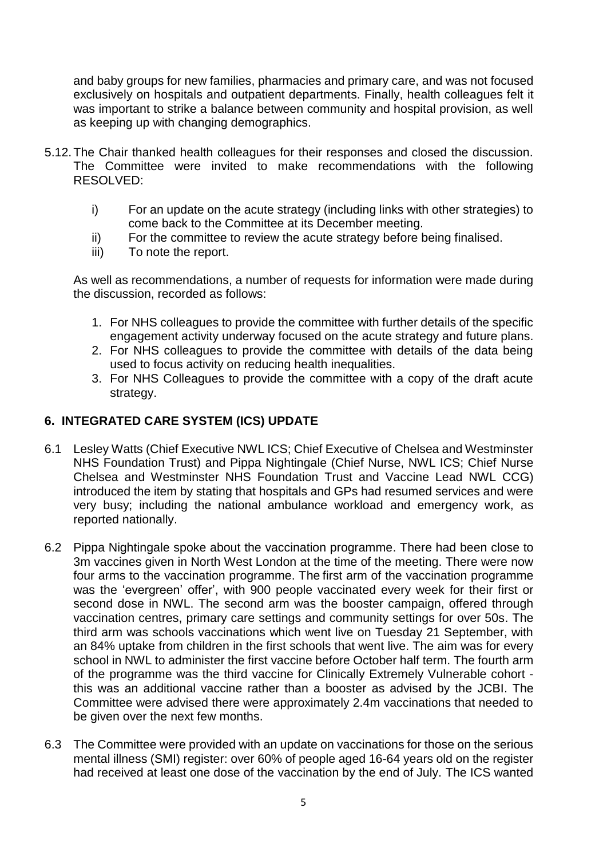and baby groups for new families, pharmacies and primary care, and was not focused exclusively on hospitals and outpatient departments. Finally, health colleagues felt it was important to strike a balance between community and hospital provision, as well as keeping up with changing demographics.

- 5.12.The Chair thanked health colleagues for their responses and closed the discussion. The Committee were invited to make recommendations with the following RESOLVED:
	- i) For an update on the acute strategy (including links with other strategies) to come back to the Committee at its December meeting.
	- ii) For the committee to review the acute strategy before being finalised.
	- iii) To note the report.

As well as recommendations, a number of requests for information were made during the discussion, recorded as follows:

- 1. For NHS colleagues to provide the committee with further details of the specific engagement activity underway focused on the acute strategy and future plans.
- 2. For NHS colleagues to provide the committee with details of the data being used to focus activity on reducing health inequalities.
- 3. For NHS Colleagues to provide the committee with a copy of the draft acute strategy.

## **6. INTEGRATED CARE SYSTEM (ICS) UPDATE**

- 6.1 Lesley Watts (Chief Executive NWL ICS; Chief Executive of Chelsea and Westminster NHS Foundation Trust) and Pippa Nightingale (Chief Nurse, NWL ICS; Chief Nurse Chelsea and Westminster NHS Foundation Trust and Vaccine Lead NWL CCG) introduced the item by stating that hospitals and GPs had resumed services and were very busy; including the national ambulance workload and emergency work, as reported nationally.
- 6.2 Pippa Nightingale spoke about the vaccination programme. There had been close to 3m vaccines given in North West London at the time of the meeting. There were now four arms to the vaccination programme. The first arm of the vaccination programme was the 'evergreen' offer', with 900 people vaccinated every week for their first or second dose in NWL. The second arm was the booster campaign, offered through vaccination centres, primary care settings and community settings for over 50s. The third arm was schools vaccinations which went live on Tuesday 21 September, with an 84% uptake from children in the first schools that went live. The aim was for every school in NWL to administer the first vaccine before October half term. The fourth arm of the programme was the third vaccine for Clinically Extremely Vulnerable cohort this was an additional vaccine rather than a booster as advised by the JCBI. The Committee were advised there were approximately 2.4m vaccinations that needed to be given over the next few months.
- 6.3 The Committee were provided with an update on vaccinations for those on the serious mental illness (SMI) register: over 60% of people aged 16-64 years old on the register had received at least one dose of the vaccination by the end of July. The ICS wanted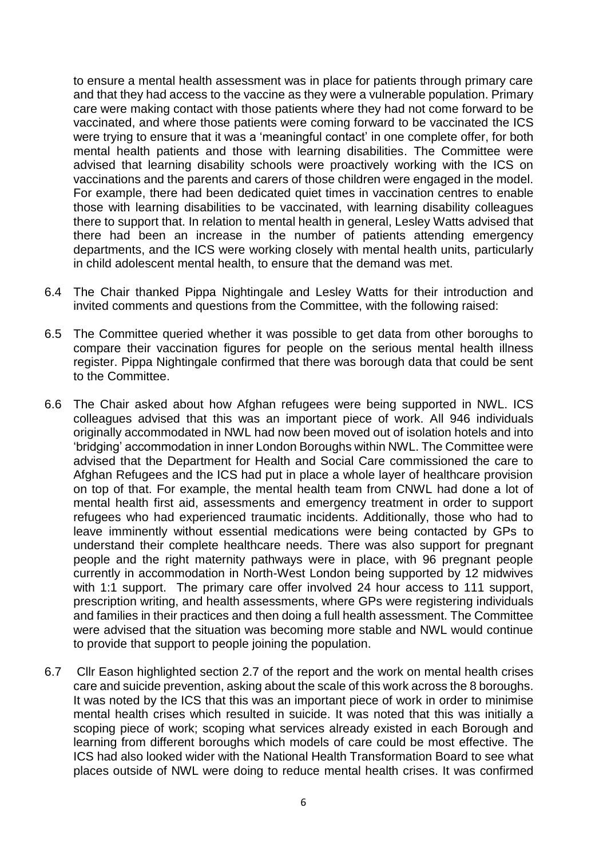to ensure a mental health assessment was in place for patients through primary care and that they had access to the vaccine as they were a vulnerable population. Primary care were making contact with those patients where they had not come forward to be vaccinated, and where those patients were coming forward to be vaccinated the ICS were trying to ensure that it was a 'meaningful contact' in one complete offer, for both mental health patients and those with learning disabilities. The Committee were advised that learning disability schools were proactively working with the ICS on vaccinations and the parents and carers of those children were engaged in the model. For example, there had been dedicated quiet times in vaccination centres to enable those with learning disabilities to be vaccinated, with learning disability colleagues there to support that. In relation to mental health in general, Lesley Watts advised that there had been an increase in the number of patients attending emergency departments, and the ICS were working closely with mental health units, particularly in child adolescent mental health, to ensure that the demand was met.

- 6.4 The Chair thanked Pippa Nightingale and Lesley Watts for their introduction and invited comments and questions from the Committee, with the following raised:
- 6.5 The Committee queried whether it was possible to get data from other boroughs to compare their vaccination figures for people on the serious mental health illness register. Pippa Nightingale confirmed that there was borough data that could be sent to the Committee.
- 6.6 The Chair asked about how Afghan refugees were being supported in NWL. ICS colleagues advised that this was an important piece of work. All 946 individuals originally accommodated in NWL had now been moved out of isolation hotels and into 'bridging' accommodation in inner London Boroughs within NWL. The Committee were advised that the Department for Health and Social Care commissioned the care to Afghan Refugees and the ICS had put in place a whole layer of healthcare provision on top of that. For example, the mental health team from CNWL had done a lot of mental health first aid, assessments and emergency treatment in order to support refugees who had experienced traumatic incidents. Additionally, those who had to leave imminently without essential medications were being contacted by GPs to understand their complete healthcare needs. There was also support for pregnant people and the right maternity pathways were in place, with 96 pregnant people currently in accommodation in North-West London being supported by 12 midwives with 1:1 support. The primary care offer involved 24 hour access to 111 support, prescription writing, and health assessments, where GPs were registering individuals and families in their practices and then doing a full health assessment. The Committee were advised that the situation was becoming more stable and NWL would continue to provide that support to people joining the population.
- 6.7 Cllr Eason highlighted section 2.7 of the report and the work on mental health crises care and suicide prevention, asking about the scale of this work across the 8 boroughs. It was noted by the ICS that this was an important piece of work in order to minimise mental health crises which resulted in suicide. It was noted that this was initially a scoping piece of work; scoping what services already existed in each Borough and learning from different boroughs which models of care could be most effective. The ICS had also looked wider with the National Health Transformation Board to see what places outside of NWL were doing to reduce mental health crises. It was confirmed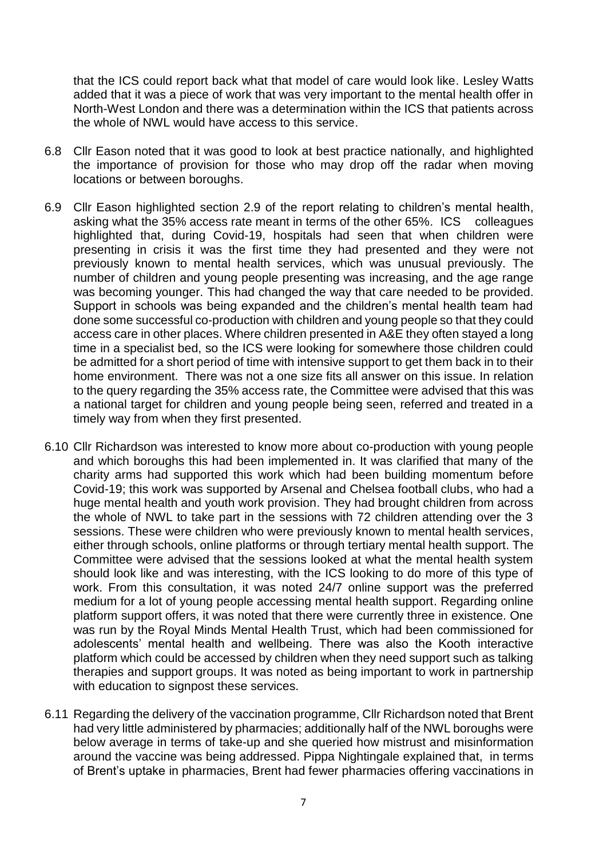that the ICS could report back what that model of care would look like. Lesley Watts added that it was a piece of work that was very important to the mental health offer in North-West London and there was a determination within the ICS that patients across the whole of NWL would have access to this service.

- 6.8 Cllr Eason noted that it was good to look at best practice nationally, and highlighted the importance of provision for those who may drop off the radar when moving locations or between boroughs.
- 6.9 Cllr Eason highlighted section 2.9 of the report relating to children's mental health, asking what the 35% access rate meant in terms of the other 65%. ICS colleagues highlighted that, during Covid-19, hospitals had seen that when children were presenting in crisis it was the first time they had presented and they were not previously known to mental health services, which was unusual previously. The number of children and young people presenting was increasing, and the age range was becoming younger. This had changed the way that care needed to be provided. Support in schools was being expanded and the children's mental health team had done some successful co-production with children and young people so that they could access care in other places. Where children presented in A&E they often stayed a long time in a specialist bed, so the ICS were looking for somewhere those children could be admitted for a short period of time with intensive support to get them back in to their home environment. There was not a one size fits all answer on this issue. In relation to the query regarding the 35% access rate, the Committee were advised that this was a national target for children and young people being seen, referred and treated in a timely way from when they first presented.
- 6.10 Cllr Richardson was interested to know more about co-production with young people and which boroughs this had been implemented in. It was clarified that many of the charity arms had supported this work which had been building momentum before Covid-19; this work was supported by Arsenal and Chelsea football clubs, who had a huge mental health and youth work provision. They had brought children from across the whole of NWL to take part in the sessions with 72 children attending over the 3 sessions. These were children who were previously known to mental health services, either through schools, online platforms or through tertiary mental health support. The Committee were advised that the sessions looked at what the mental health system should look like and was interesting, with the ICS looking to do more of this type of work. From this consultation, it was noted 24/7 online support was the preferred medium for a lot of young people accessing mental health support. Regarding online platform support offers, it was noted that there were currently three in existence. One was run by the Royal Minds Mental Health Trust, which had been commissioned for adolescents' mental health and wellbeing. There was also the Kooth interactive platform which could be accessed by children when they need support such as talking therapies and support groups. It was noted as being important to work in partnership with education to signpost these services.
- 6.11 Regarding the delivery of the vaccination programme, Cllr Richardson noted that Brent had very little administered by pharmacies; additionally half of the NWL boroughs were below average in terms of take-up and she queried how mistrust and misinformation around the vaccine was being addressed. Pippa Nightingale explained that, in terms of Brent's uptake in pharmacies, Brent had fewer pharmacies offering vaccinations in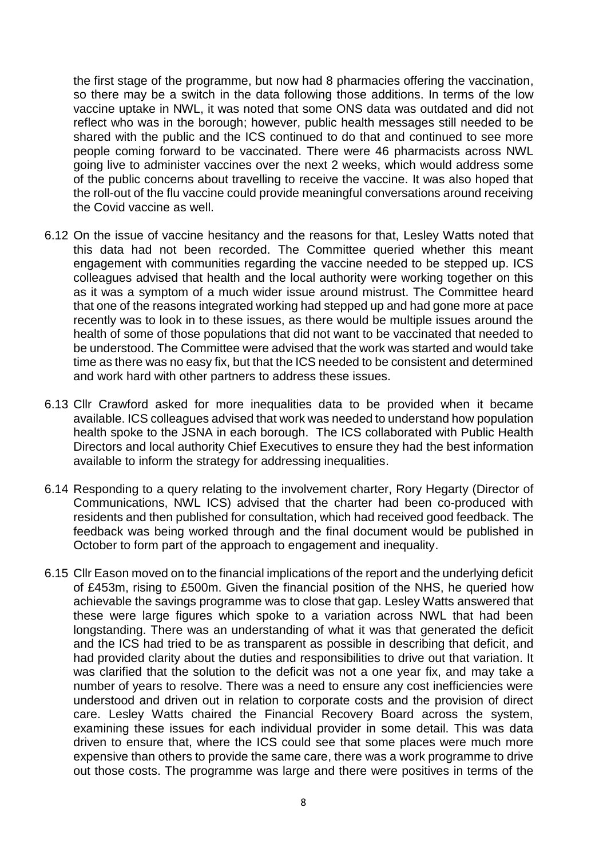the first stage of the programme, but now had 8 pharmacies offering the vaccination, so there may be a switch in the data following those additions. In terms of the low vaccine uptake in NWL, it was noted that some ONS data was outdated and did not reflect who was in the borough; however, public health messages still needed to be shared with the public and the ICS continued to do that and continued to see more people coming forward to be vaccinated. There were 46 pharmacists across NWL going live to administer vaccines over the next 2 weeks, which would address some of the public concerns about travelling to receive the vaccine. It was also hoped that the roll-out of the flu vaccine could provide meaningful conversations around receiving the Covid vaccine as well.

- 6.12 On the issue of vaccine hesitancy and the reasons for that, Lesley Watts noted that this data had not been recorded. The Committee queried whether this meant engagement with communities regarding the vaccine needed to be stepped up. ICS colleagues advised that health and the local authority were working together on this as it was a symptom of a much wider issue around mistrust. The Committee heard that one of the reasons integrated working had stepped up and had gone more at pace recently was to look in to these issues, as there would be multiple issues around the health of some of those populations that did not want to be vaccinated that needed to be understood. The Committee were advised that the work was started and would take time as there was no easy fix, but that the ICS needed to be consistent and determined and work hard with other partners to address these issues.
- 6.13 Cllr Crawford asked for more inequalities data to be provided when it became available. ICS colleagues advised that work was needed to understand how population health spoke to the JSNA in each borough. The ICS collaborated with Public Health Directors and local authority Chief Executives to ensure they had the best information available to inform the strategy for addressing inequalities.
- 6.14 Responding to a query relating to the involvement charter, Rory Hegarty (Director of Communications, NWL ICS) advised that the charter had been co-produced with residents and then published for consultation, which had received good feedback. The feedback was being worked through and the final document would be published in October to form part of the approach to engagement and inequality.
- 6.15 Cllr Eason moved on to the financial implications of the report and the underlying deficit of £453m, rising to £500m. Given the financial position of the NHS, he queried how achievable the savings programme was to close that gap. Lesley Watts answered that these were large figures which spoke to a variation across NWL that had been longstanding. There was an understanding of what it was that generated the deficit and the ICS had tried to be as transparent as possible in describing that deficit, and had provided clarity about the duties and responsibilities to drive out that variation. It was clarified that the solution to the deficit was not a one year fix, and may take a number of years to resolve. There was a need to ensure any cost inefficiencies were understood and driven out in relation to corporate costs and the provision of direct care. Lesley Watts chaired the Financial Recovery Board across the system, examining these issues for each individual provider in some detail. This was data driven to ensure that, where the ICS could see that some places were much more expensive than others to provide the same care, there was a work programme to drive out those costs. The programme was large and there were positives in terms of the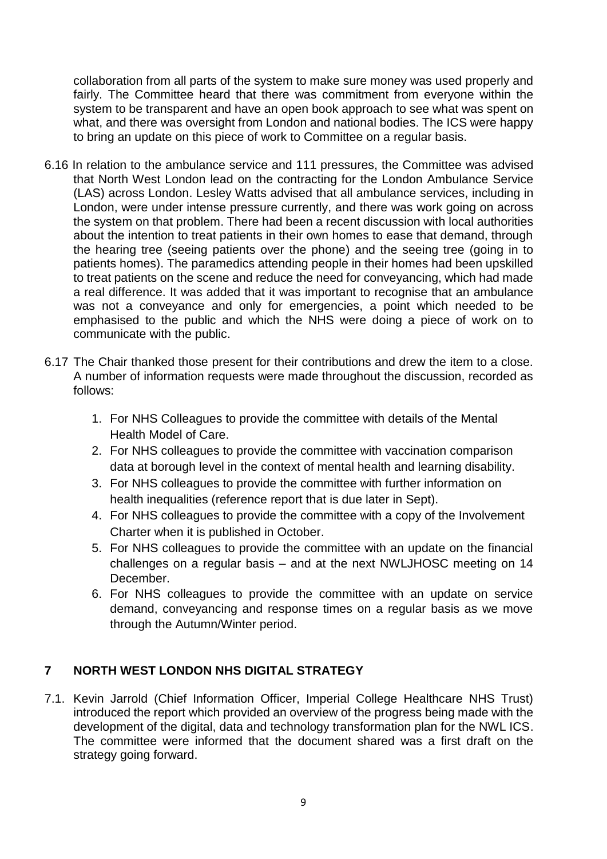collaboration from all parts of the system to make sure money was used properly and fairly. The Committee heard that there was commitment from everyone within the system to be transparent and have an open book approach to see what was spent on what, and there was oversight from London and national bodies. The ICS were happy to bring an update on this piece of work to Committee on a regular basis.

- 6.16 In relation to the ambulance service and 111 pressures, the Committee was advised that North West London lead on the contracting for the London Ambulance Service (LAS) across London. Lesley Watts advised that all ambulance services, including in London, were under intense pressure currently, and there was work going on across the system on that problem. There had been a recent discussion with local authorities about the intention to treat patients in their own homes to ease that demand, through the hearing tree (seeing patients over the phone) and the seeing tree (going in to patients homes). The paramedics attending people in their homes had been upskilled to treat patients on the scene and reduce the need for conveyancing, which had made a real difference. It was added that it was important to recognise that an ambulance was not a conveyance and only for emergencies, a point which needed to be emphasised to the public and which the NHS were doing a piece of work on to communicate with the public.
- 6.17 The Chair thanked those present for their contributions and drew the item to a close. A number of information requests were made throughout the discussion, recorded as follows:
	- 1. For NHS Colleagues to provide the committee with details of the Mental Health Model of Care.
	- 2. For NHS colleagues to provide the committee with vaccination comparison data at borough level in the context of mental health and learning disability.
	- 3. For NHS colleagues to provide the committee with further information on health inequalities (reference report that is due later in Sept).
	- 4. For NHS colleagues to provide the committee with a copy of the Involvement Charter when it is published in October.
	- 5. For NHS colleagues to provide the committee with an update on the financial challenges on a regular basis – and at the next NWLJHOSC meeting on 14 December.
	- 6. For NHS colleagues to provide the committee with an update on service demand, conveyancing and response times on a regular basis as we move through the Autumn/Winter period.

## **7 NORTH WEST LONDON NHS DIGITAL STRATEGY**

7.1. Kevin Jarrold (Chief Information Officer, Imperial College Healthcare NHS Trust) introduced the report which provided an overview of the progress being made with the development of the digital, data and technology transformation plan for the NWL ICS. The committee were informed that the document shared was a first draft on the strategy going forward.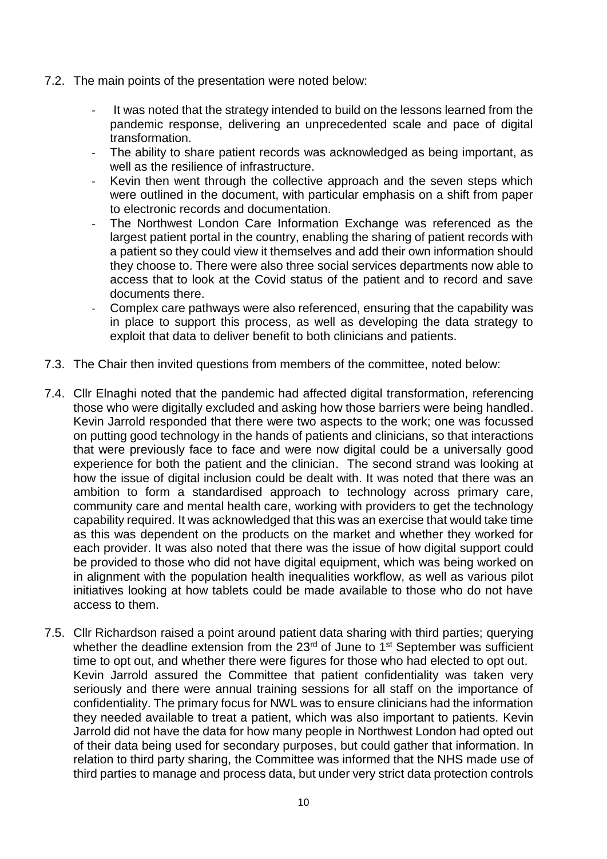- 7.2. The main points of the presentation were noted below:
	- It was noted that the strategy intended to build on the lessons learned from the pandemic response, delivering an unprecedented scale and pace of digital transformation.
	- The ability to share patient records was acknowledged as being important, as well as the resilience of infrastructure.
	- Kevin then went through the collective approach and the seven steps which were outlined in the document, with particular emphasis on a shift from paper to electronic records and documentation.
	- The Northwest London Care Information Exchange was referenced as the largest patient portal in the country, enabling the sharing of patient records with a patient so they could view it themselves and add their own information should they choose to. There were also three social services departments now able to access that to look at the Covid status of the patient and to record and save documents there.
	- Complex care pathways were also referenced, ensuring that the capability was in place to support this process, as well as developing the data strategy to exploit that data to deliver benefit to both clinicians and patients.
- 7.3. The Chair then invited questions from members of the committee, noted below:
- 7.4. Cllr Elnaghi noted that the pandemic had affected digital transformation, referencing those who were digitally excluded and asking how those barriers were being handled. Kevin Jarrold responded that there were two aspects to the work; one was focussed on putting good technology in the hands of patients and clinicians, so that interactions that were previously face to face and were now digital could be a universally good experience for both the patient and the clinician. The second strand was looking at how the issue of digital inclusion could be dealt with. It was noted that there was an ambition to form a standardised approach to technology across primary care, community care and mental health care, working with providers to get the technology capability required. It was acknowledged that this was an exercise that would take time as this was dependent on the products on the market and whether they worked for each provider. It was also noted that there was the issue of how digital support could be provided to those who did not have digital equipment, which was being worked on in alignment with the population health inequalities workflow, as well as various pilot initiatives looking at how tablets could be made available to those who do not have access to them.
- 7.5. Cllr Richardson raised a point around patient data sharing with third parties; querying whether the deadline extension from the 23<sup>rd</sup> of June to 1<sup>st</sup> September was sufficient time to opt out, and whether there were figures for those who had elected to opt out. Kevin Jarrold assured the Committee that patient confidentiality was taken very seriously and there were annual training sessions for all staff on the importance of confidentiality. The primary focus for NWL was to ensure clinicians had the information they needed available to treat a patient, which was also important to patients. Kevin Jarrold did not have the data for how many people in Northwest London had opted out of their data being used for secondary purposes, but could gather that information. In relation to third party sharing, the Committee was informed that the NHS made use of third parties to manage and process data, but under very strict data protection controls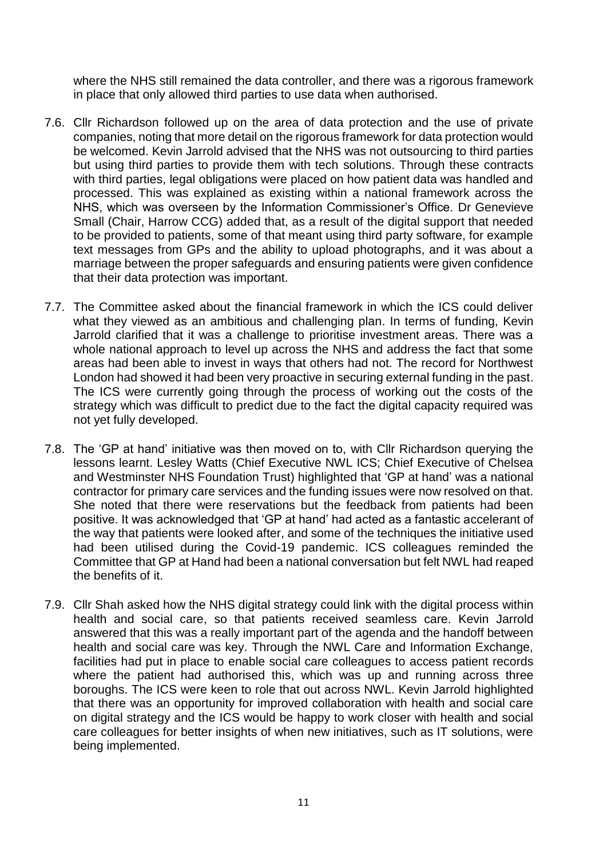where the NHS still remained the data controller, and there was a rigorous framework in place that only allowed third parties to use data when authorised.

- 7.6. Cllr Richardson followed up on the area of data protection and the use of private companies, noting that more detail on the rigorous framework for data protection would be welcomed. Kevin Jarrold advised that the NHS was not outsourcing to third parties but using third parties to provide them with tech solutions. Through these contracts with third parties, legal obligations were placed on how patient data was handled and processed. This was explained as existing within a national framework across the NHS, which was overseen by the Information Commissioner's Office. Dr Genevieve Small (Chair, Harrow CCG) added that, as a result of the digital support that needed to be provided to patients, some of that meant using third party software, for example text messages from GPs and the ability to upload photographs, and it was about a marriage between the proper safeguards and ensuring patients were given confidence that their data protection was important.
- 7.7. The Committee asked about the financial framework in which the ICS could deliver what they viewed as an ambitious and challenging plan. In terms of funding, Kevin Jarrold clarified that it was a challenge to prioritise investment areas. There was a whole national approach to level up across the NHS and address the fact that some areas had been able to invest in ways that others had not. The record for Northwest London had showed it had been very proactive in securing external funding in the past. The ICS were currently going through the process of working out the costs of the strategy which was difficult to predict due to the fact the digital capacity required was not yet fully developed.
- 7.8. The 'GP at hand' initiative was then moved on to, with Cllr Richardson querying the lessons learnt. Lesley Watts (Chief Executive NWL ICS; Chief Executive of Chelsea and Westminster NHS Foundation Trust) highlighted that 'GP at hand' was a national contractor for primary care services and the funding issues were now resolved on that. She noted that there were reservations but the feedback from patients had been positive. It was acknowledged that 'GP at hand' had acted as a fantastic accelerant of the way that patients were looked after, and some of the techniques the initiative used had been utilised during the Covid-19 pandemic. ICS colleagues reminded the Committee that GP at Hand had been a national conversation but felt NWL had reaped the benefits of it.
- 7.9. Cllr Shah asked how the NHS digital strategy could link with the digital process within health and social care, so that patients received seamless care. Kevin Jarrold answered that this was a really important part of the agenda and the handoff between health and social care was key. Through the NWL Care and Information Exchange, facilities had put in place to enable social care colleagues to access patient records where the patient had authorised this, which was up and running across three boroughs. The ICS were keen to role that out across NWL. Kevin Jarrold highlighted that there was an opportunity for improved collaboration with health and social care on digital strategy and the ICS would be happy to work closer with health and social care colleagues for better insights of when new initiatives, such as IT solutions, were being implemented.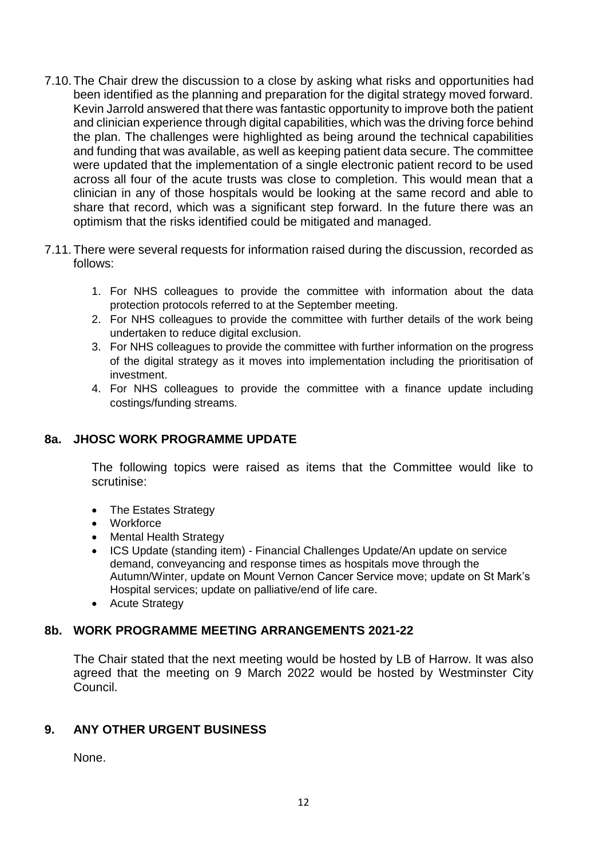- 7.10.The Chair drew the discussion to a close by asking what risks and opportunities had been identified as the planning and preparation for the digital strategy moved forward. Kevin Jarrold answered that there was fantastic opportunity to improve both the patient and clinician experience through digital capabilities, which was the driving force behind the plan. The challenges were highlighted as being around the technical capabilities and funding that was available, as well as keeping patient data secure. The committee were updated that the implementation of a single electronic patient record to be used across all four of the acute trusts was close to completion. This would mean that a clinician in any of those hospitals would be looking at the same record and able to share that record, which was a significant step forward. In the future there was an optimism that the risks identified could be mitigated and managed.
- 7.11.There were several requests for information raised during the discussion, recorded as follows:
	- 1. For NHS colleagues to provide the committee with information about the data protection protocols referred to at the September meeting.
	- 2. For NHS colleagues to provide the committee with further details of the work being undertaken to reduce digital exclusion.
	- 3. For NHS colleagues to provide the committee with further information on the progress of the digital strategy as it moves into implementation including the prioritisation of investment.
	- 4. For NHS colleagues to provide the committee with a finance update including costings/funding streams.

## **8a. JHOSC WORK PROGRAMME UPDATE**

The following topics were raised as items that the Committee would like to scrutinise:

- The Estates Strategy
- Workforce
- Mental Health Strategy
- ICS Update (standing item) Financial Challenges Update/An update on service demand, conveyancing and response times as hospitals move through the Autumn/Winter, update on Mount Vernon Cancer Service move; update on St Mark's Hospital services; update on palliative/end of life care.
- Acute Strategy

#### **8b. WORK PROGRAMME MEETING ARRANGEMENTS 2021-22**

The Chair stated that the next meeting would be hosted by LB of Harrow. It was also agreed that the meeting on 9 March 2022 would be hosted by Westminster City Council.

#### **9. ANY OTHER URGENT BUSINESS**

None.